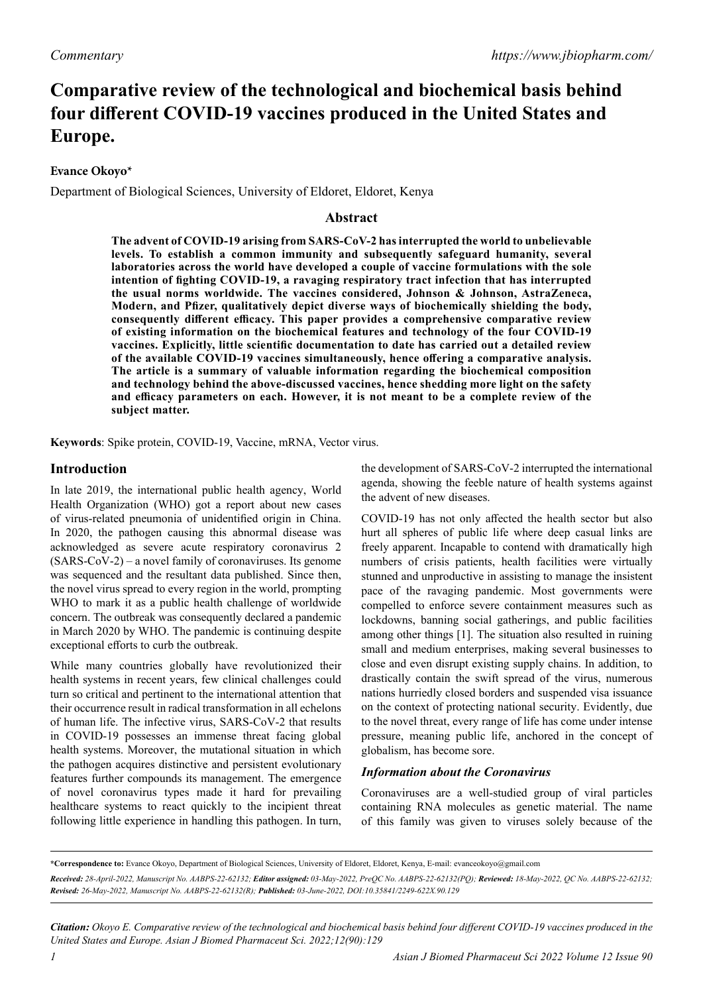# **Comparative review of the technological and biochemical basis behind four different COVID-19 vaccines produced in the United States and Europe.**

# **Evance Okoyo\***

Department of Biological Sciences, University of Eldoret, Eldoret, Kenya

# **Abstract**

**The advent of COVID-19 arising from SARS-CoV-2 has interrupted the world to unbelievable levels. To establish a common immunity and subsequently safeguard humanity, several laboratories across the world have developed a couple of vaccine formulations with the sole intention of fighting COVID-19, a ravaging respiratory tract infection that has interrupted the usual norms worldwide. The vaccines considered, Johnson & Johnson, AstraZeneca, Modern, and Pfizer, qualitatively depict diverse ways of biochemically shielding the body, consequently different efficacy. This paper provides a comprehensive comparative review of existing information on the biochemical features and technology of the four COVID-19 vaccines. Explicitly, little scientific documentation to date has carried out a detailed review of the available COVID-19 vaccines simultaneously, hence offering a comparative analysis. The article is a summary of valuable information regarding the biochemical composition and technology behind the above-discussed vaccines, hence shedding more light on the safety and efficacy parameters on each. However, it is not meant to be a complete review of the subject matter.**

**Keywords**: Spike protein, COVID-19, Vaccine, mRNA, Vector virus.

# **Introduction**

In late 2019, the international public health agency, World Health Organization (WHO) got a report about new cases of virus-related pneumonia of unidentified origin in China. In 2020, the pathogen causing this abnormal disease was acknowledged as severe acute respiratory coronavirus 2 (SARS-CoV-2) – a novel family of coronaviruses. Its genome was sequenced and the resultant data published. Since then, the novel virus spread to every region in the world, prompting WHO to mark it as a public health challenge of worldwide concern. The outbreak was consequently declared a pandemic in March 2020 by WHO. The pandemic is continuing despite exceptional efforts to curb the outbreak.

While many countries globally have revolutionized their health systems in recent years, few clinical challenges could turn so critical and pertinent to the international attention that their occurrence result in radical transformation in all echelons of human life. The infective virus, SARS-CoV-2 that results in COVID-19 possesses an immense threat facing global health systems. Moreover, the mutational situation in which the pathogen acquires distinctive and persistent evolutionary features further compounds its management. The emergence of novel coronavirus types made it hard for prevailing healthcare systems to react quickly to the incipient threat following little experience in handling this pathogen. In turn,

the development of SARS-CoV-2 interrupted the international agenda, showing the feeble nature of health systems against the advent of new diseases.

COVID-19 has not only affected the health sector but also hurt all spheres of public life where deep casual links are freely apparent. Incapable to contend with dramatically high numbers of crisis patients, health facilities were virtually stunned and unproductive in assisting to manage the insistent pace of the ravaging pandemic. Most governments were compelled to enforce severe containment measures such as lockdowns, banning social gatherings, and public facilities among other things [1]. The situation also resulted in ruining small and medium enterprises, making several businesses to close and even disrupt existing supply chains. In addition, to drastically contain the swift spread of the virus, numerous nations hurriedly closed borders and suspended visa issuance on the context of protecting national security. Evidently, due to the novel threat, every range of life has come under intense pressure, meaning public life, anchored in the concept of globalism, has become sore.

# *Information about the Coronavirus*

Coronaviruses are a well-studied group of viral particles containing RNA molecules as genetic material. The name of this family was given to viruses solely because of the

**\*Correspondence to:** Evance Okoyo, Department of Biological Sciences, University of Eldoret, Eldoret, Kenya, E-mail: evanceokoyo@gmail.com

*Received: 28-April-2022, Manuscript No. AABPS-22-62132; Editor assigned: 03-May-2022, PreQC No. AABPS-22-62132(PQ); Reviewed: 18-May-2022, QC No. AABPS-22-62132; Revised: 26-May-2022, Manuscript No. AABPS-22-62132(R); Published: 03-June-2022, DOI:10.35841/2249-622X.90.129*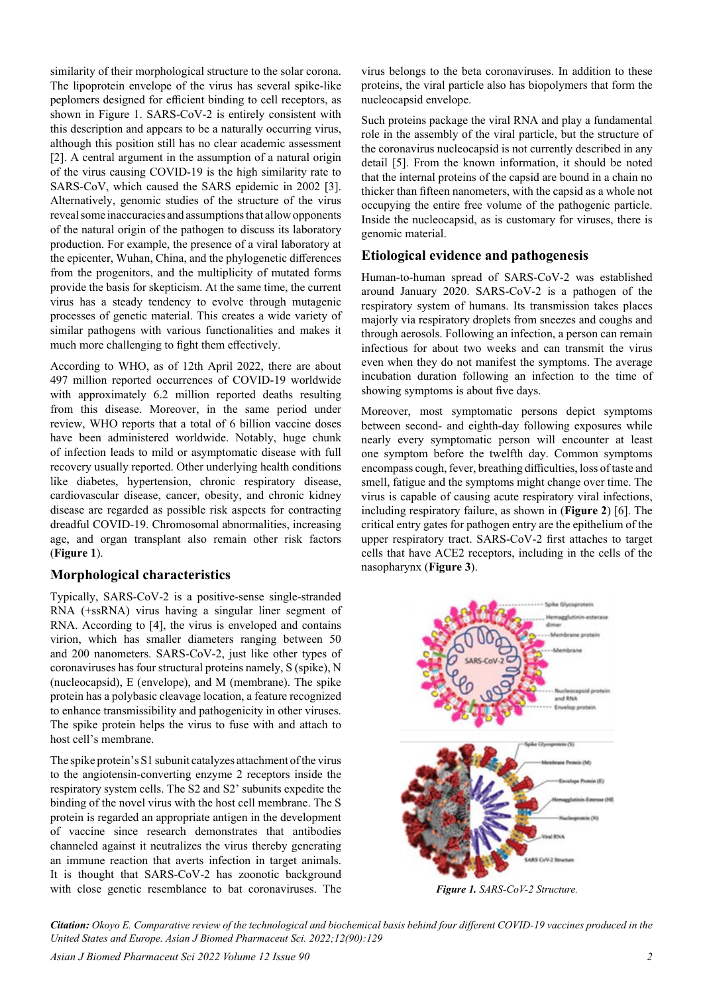similarity of their morphological structure to the solar corona. The lipoprotein envelope of the virus has several spike-like peplomers designed for efficient binding to cell receptors, as shown in Figure 1. SARS-CoV-2 is entirely consistent with this description and appears to be a naturally occurring virus, although this position still has no clear academic assessment [2]. A central argument in the assumption of a natural origin of the virus causing COVID-19 is the high similarity rate to SARS-CoV, which caused the SARS epidemic in 2002 [3]. Alternatively, genomic studies of the structure of the virus reveal some inaccuracies and assumptions that allow opponents of the natural origin of the pathogen to discuss its laboratory production. For example, the presence of a viral laboratory at the epicenter, Wuhan, China, and the phylogenetic differences from the progenitors, and the multiplicity of mutated forms provide the basis for skepticism. At the same time, the current virus has a steady tendency to evolve through mutagenic processes of genetic material. This creates a wide variety of similar pathogens with various functionalities and makes it much more challenging to fight them effectively.

According to WHO, as of 12th April 2022, there are about 497 million reported occurrences of COVID-19 worldwide with approximately 6.2 million reported deaths resulting from this disease. Moreover, in the same period under review, WHO reports that a total of 6 billion vaccine doses have been administered worldwide. Notably, huge chunk of infection leads to mild or asymptomatic disease with full recovery usually reported. Other underlying health conditions like diabetes, hypertension, chronic respiratory disease, cardiovascular disease, cancer, obesity, and chronic kidney disease are regarded as possible risk aspects for contracting dreadful COVID-19. Chromosomal abnormalities, increasing age, and organ transplant also remain other risk factors (**Figure 1**).

# **Morphological characteristics**

Typically, SARS-CoV-2 is a positive-sense single-stranded RNA (+ssRNA) virus having a singular liner segment of RNA. According to [4], the virus is enveloped and contains virion, which has smaller diameters ranging between 50 and 200 nanometers. SARS-CoV-2, just like other types of coronaviruses has four structural proteins namely, S (spike), N (nucleocapsid), E (envelope), and M (membrane). The spike protein has a polybasic cleavage location, a feature recognized to enhance transmissibility and pathogenicity in other viruses. The spike protein helps the virus to fuse with and attach to host cell's membrane.

The spike protein's S1 subunit catalyzes attachment of the virus to the angiotensin-converting enzyme 2 receptors inside the respiratory system cells. The S2 and S2' subunits expedite the binding of the novel virus with the host cell membrane. The S protein is regarded an appropriate antigen in the development of vaccine since research demonstrates that antibodies channeled against it neutralizes the virus thereby generating an immune reaction that averts infection in target animals. It is thought that SARS-CoV-2 has zoonotic background with close genetic resemblance to bat coronaviruses. The

virus belongs to the beta coronaviruses. In addition to these proteins, the viral particle also has biopolymers that form the nucleocapsid envelope.

Such proteins package the viral RNA and play a fundamental role in the assembly of the viral particle, but the structure of the coronavirus nucleocapsid is not currently described in any detail [5]. From the known information, it should be noted that the internal proteins of the capsid are bound in a chain no thicker than fifteen nanometers, with the capsid as a whole not occupying the entire free volume of the pathogenic particle. Inside the nucleocapsid, as is customary for viruses, there is genomic material.

# **Etiological evidence and pathogenesis**

Human-to-human spread of SARS-CoV-2 was established around January 2020. SARS-CoV-2 is a pathogen of the respiratory system of humans. Its transmission takes places majorly via respiratory droplets from sneezes and coughs and through aerosols. Following an infection, a person can remain infectious for about two weeks and can transmit the virus even when they do not manifest the symptoms. The average incubation duration following an infection to the time of showing symptoms is about five days.

Moreover, most symptomatic persons depict symptoms between second- and eighth-day following exposures while nearly every symptomatic person will encounter at least one symptom before the twelfth day. Common symptoms encompass cough, fever, breathing difficulties, loss of taste and smell, fatigue and the symptoms might change over time. The virus is capable of causing acute respiratory viral infections, including respiratory failure, as shown in (**Figure 2**) [6]. The critical entry gates for pathogen entry are the epithelium of the upper respiratory tract. SARS-CoV-2 first attaches to target cells that have ACE2 receptors, including in the cells of the nasopharynx (**Figure 3**).



*Figure 1. SARS-CoV-2 Structure.*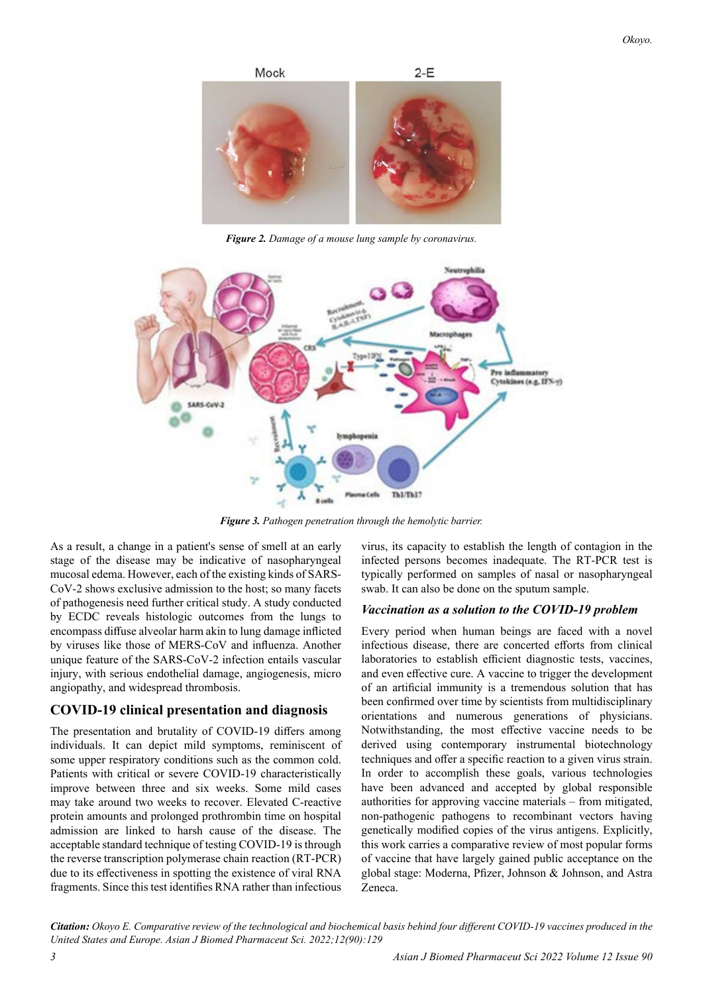

*Figure 2. Damage of a mouse lung sample by coronavirus.*



*Figure 3. Pathogen penetration through the hemolytic barrier.*

As a result, a change in a patient's sense of smell at an early stage of the disease may be indicative of nasopharyngeal mucosal edema. However, each of the existing kinds of SARS-CoV-2 shows exclusive admission to the host; so many facets of pathogenesis need further critical study. A study conducted by ECDC reveals histologic outcomes from the lungs to encompass diffuse alveolar harm akin to lung damage inflicted by viruses like those of MERS-CoV and influenza. Another unique feature of the SARS-CoV-2 infection entails vascular injury, with serious endothelial damage, angiogenesis, micro angiopathy, and widespread thrombosis.

## **COVID-19 clinical presentation and diagnosis**

The presentation and brutality of COVID-19 differs among individuals. It can depict mild symptoms, reminiscent of some upper respiratory conditions such as the common cold. Patients with critical or severe COVID-19 characteristically improve between three and six weeks. Some mild cases may take around two weeks to recover. Elevated C-reactive protein amounts and prolonged prothrombin time on hospital admission are linked to harsh cause of the disease. The acceptable standard technique of testing COVID-19 is through the reverse transcription polymerase chain reaction (RT-PCR) due to its effectiveness in spotting the existence of viral RNA fragments. Since this test identifies RNA rather than infectious

virus, its capacity to establish the length of contagion in the infected persons becomes inadequate. The RT-PCR test is typically performed on samples of nasal or nasopharyngeal swab. It can also be done on the sputum sample.

#### *Vaccination as a solution to the COVID-19 problem*

Every period when human beings are faced with a novel infectious disease, there are concerted efforts from clinical laboratories to establish efficient diagnostic tests, vaccines, and even effective cure. A vaccine to trigger the development of an artificial immunity is a tremendous solution that has been confirmed over time by scientists from multidisciplinary orientations and numerous generations of physicians. Notwithstanding, the most effective vaccine needs to be derived using contemporary instrumental biotechnology techniques and offer a specific reaction to a given virus strain. In order to accomplish these goals, various technologies have been advanced and accepted by global responsible authorities for approving vaccine materials – from mitigated, non-pathogenic pathogens to recombinant vectors having genetically modified copies of the virus antigens. Explicitly, this work carries a comparative review of most popular forms of vaccine that have largely gained public acceptance on the global stage: Moderna, Pfizer, Johnson & Johnson, and Astra Zeneca.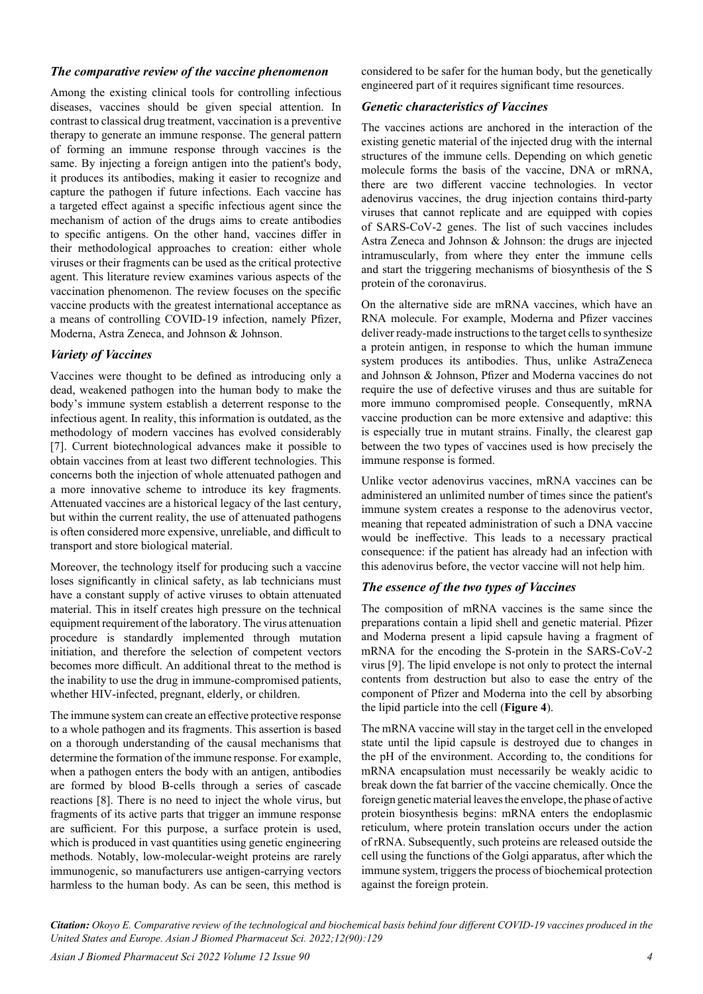## *The comparative review of the vaccine phenomenon*

Among the existing clinical tools for controlling infectious diseases, vaccines should be given special attention. In contrast to classical drug treatment, vaccination is a preventive therapy to generate an immune response. The general pattern of forming an immune response through vaccines is the same. By injecting a foreign antigen into the patient's body, it produces its antibodies, making it easier to recognize and capture the pathogen if future infections. Each vaccine has a targeted effect against a specific infectious agent since the mechanism of action of the drugs aims to create antibodies to specific antigens. On the other hand, vaccines differ in their methodological approaches to creation: either whole viruses or their fragments can be used as the critical protective agent. This literature review examines various aspects of the vaccination phenomenon. The review focuses on the specific vaccine products with the greatest international acceptance as a means of controlling COVID-19 infection, namely Pfizer, Moderna, Astra Zeneca, and Johnson & Johnson.

## *Variety of Vaccines*

Vaccines were thought to be defined as introducing only a dead, weakened pathogen into the human body to make the body's immune system establish a deterrent response to the infectious agent. In reality, this information is outdated, as the methodology of modern vaccines has evolved considerably [7]. Current biotechnological advances make it possible to obtain vaccines from at least two different technologies. This concerns both the injection of whole attenuated pathogen and a more innovative scheme to introduce its key fragments. Attenuated vaccines are a historical legacy of the last century, but within the current reality, the use of attenuated pathogens is often considered more expensive, unreliable, and difficult to transport and store biological material.

Moreover, the technology itself for producing such a vaccine loses significantly in clinical safety, as lab technicians must have a constant supply of active viruses to obtain attenuated material. This in itself creates high pressure on the technical equipment requirement of the laboratory. The virus attenuation procedure is standardly implemented through mutation initiation, and therefore the selection of competent vectors becomes more difficult. An additional threat to the method is the inability to use the drug in immune-compromised patients, whether HIV-infected, pregnant, elderly, or children.

The immune system can create an effective protective response to a whole pathogen and its fragments. This assertion is based on a thorough understanding of the causal mechanisms that determine the formation of the immune response. For example, when a pathogen enters the body with an antigen, antibodies are formed by blood B-cells through a series of cascade reactions [8]. There is no need to inject the whole virus, but fragments of its active parts that trigger an immune response are sufficient. For this purpose, a surface protein is used, which is produced in vast quantities using genetic engineering methods. Notably, low-molecular-weight proteins are rarely immunogenic, so manufacturers use antigen-carrying vectors harmless to the human body. As can be seen, this method is

considered to be safer for the human body, but the genetically engineered part of it requires significant time resources.

#### *Genetic characteristics of Vaccines*

The vaccines actions are anchored in the interaction of the existing genetic material of the injected drug with the internal structures of the immune cells. Depending on which genetic molecule forms the basis of the vaccine, DNA or mRNA, there are two different vaccine technologies. In vector adenovirus vaccines, the drug injection contains third-party viruses that cannot replicate and are equipped with copies of SARS-CoV-2 genes. The list of such vaccines includes Astra Zeneca and Johnson & Johnson: the drugs are injected intramuscularly, from where they enter the immune cells and start the triggering mechanisms of biosynthesis of the S protein of the coronavirus.

On the alternative side are mRNA vaccines, which have an RNA molecule. For example, Moderna and Pfizer vaccines deliver ready-made instructions to the target cells to synthesize a protein antigen, in response to which the human immune system produces its antibodies. Thus, unlike AstraZeneca and Johnson & Johnson, Pfizer and Moderna vaccines do not require the use of defective viruses and thus are suitable for more immuno compromised people. Consequently, mRNA vaccine production can be more extensive and adaptive: this is especially true in mutant strains. Finally, the clearest gap between the two types of vaccines used is how precisely the immune response is formed.

Unlike vector adenovirus vaccines, mRNA vaccines can be administered an unlimited number of times since the patient's immune system creates a response to the adenovirus vector, meaning that repeated administration of such a DNA vaccine would be ineffective. This leads to a necessary practical consequence: if the patient has already had an infection with this adenovirus before, the vector vaccine will not help him.

## *The essence of the two types of Vaccines*

The composition of mRNA vaccines is the same since the preparations contain a lipid shell and genetic material. Pfizer and Moderna present a lipid capsule having a fragment of mRNA for the encoding the S-protein in the SARS-CoV-2 virus [9]. The lipid envelope is not only to protect the internal contents from destruction but also to ease the entry of the component of Pfizer and Moderna into the cell by absorbing the lipid particle into the cell (**Figure 4**).

The mRNA vaccine will stay in the target cell in the enveloped state until the lipid capsule is destroyed due to changes in the pH of the environment. According to, the conditions for mRNA encapsulation must necessarily be weakly acidic to break down the fat barrier of the vaccine chemically. Once the foreign genetic material leaves the envelope, the phase of active protein biosynthesis begins: mRNA enters the endoplasmic reticulum, where protein translation occurs under the action of rRNA. Subsequently, such proteins are released outside the cell using the functions of the Golgi apparatus, after which the immune system, triggers the process of biochemical protection against the foreign protein.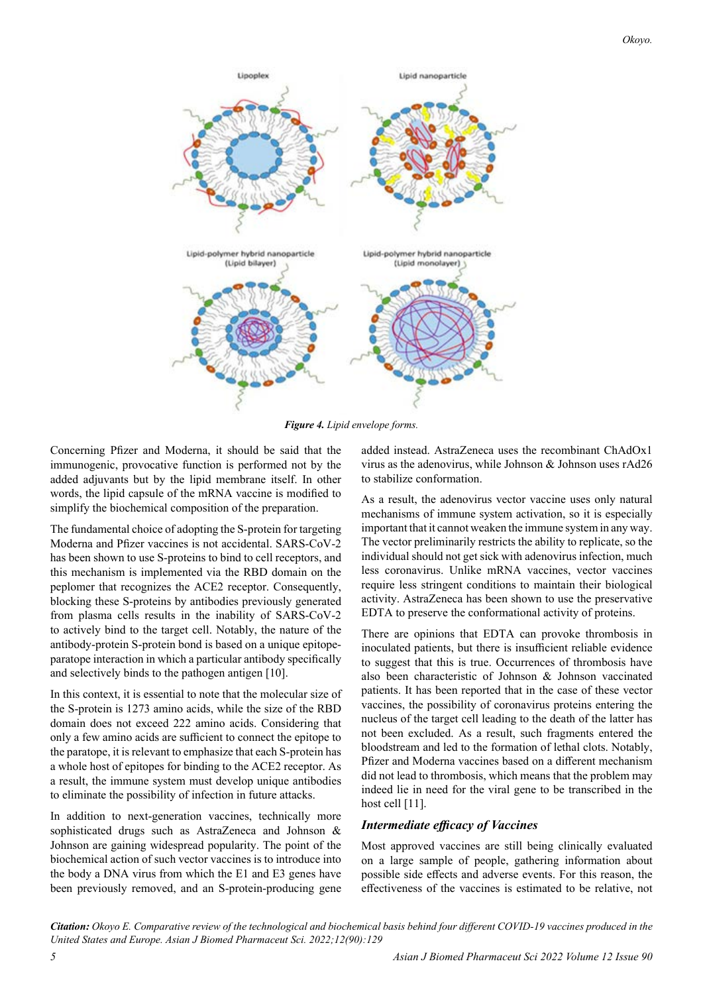

*Figure 4. Lipid envelope forms.*

Concerning Pfizer and Moderna, it should be said that the immunogenic, provocative function is performed not by the added adjuvants but by the lipid membrane itself. In other words, the lipid capsule of the mRNA vaccine is modified to simplify the biochemical composition of the preparation.

The fundamental choice of adopting the S-protein for targeting Moderna and Pfizer vaccines is not accidental. SARS-CoV-2 has been shown to use S-proteins to bind to cell receptors, and this mechanism is implemented via the RBD domain on the peplomer that recognizes the ACE2 receptor. Consequently, blocking these S-proteins by antibodies previously generated from plasma cells results in the inability of SARS-CoV-2 to actively bind to the target cell. Notably, the nature of the antibody-protein S-protein bond is based on a unique epitopeparatope interaction in which a particular antibody specifically and selectively binds to the pathogen antigen [10].

In this context, it is essential to note that the molecular size of the S-protein is 1273 amino acids, while the size of the RBD domain does not exceed 222 amino acids. Considering that only a few amino acids are sufficient to connect the epitope to the paratope, it is relevant to emphasize that each S-protein has a whole host of epitopes for binding to the ACE2 receptor. As a result, the immune system must develop unique antibodies to eliminate the possibility of infection in future attacks.

In addition to next-generation vaccines, technically more sophisticated drugs such as AstraZeneca and Johnson & Johnson are gaining widespread popularity. The point of the biochemical action of such vector vaccines is to introduce into the body a DNA virus from which the E1 and E3 genes have been previously removed, and an S-protein-producing gene

added instead. AstraZeneca uses the recombinant ChAdOx1 virus as the adenovirus, while Johnson  $&$  Johnson uses rAd26 to stabilize conformation.

As a result, the adenovirus vector vaccine uses only natural mechanisms of immune system activation, so it is especially important that it cannot weaken the immune system in any way. The vector preliminarily restricts the ability to replicate, so the individual should not get sick with adenovirus infection, much less coronavirus. Unlike mRNA vaccines, vector vaccines require less stringent conditions to maintain their biological activity. AstraZeneca has been shown to use the preservative EDTA to preserve the conformational activity of proteins.

There are opinions that EDTA can provoke thrombosis in inoculated patients, but there is insufficient reliable evidence to suggest that this is true. Occurrences of thrombosis have also been characteristic of Johnson & Johnson vaccinated patients. It has been reported that in the case of these vector vaccines, the possibility of coronavirus proteins entering the nucleus of the target cell leading to the death of the latter has not been excluded. As a result, such fragments entered the bloodstream and led to the formation of lethal clots. Notably, Pfizer and Moderna vaccines based on a different mechanism did not lead to thrombosis, which means that the problem may indeed lie in need for the viral gene to be transcribed in the host cell [11].

## *Intermediate efficacy of Vaccines*

Most approved vaccines are still being clinically evaluated on a large sample of people, gathering information about possible side effects and adverse events. For this reason, the effectiveness of the vaccines is estimated to be relative, not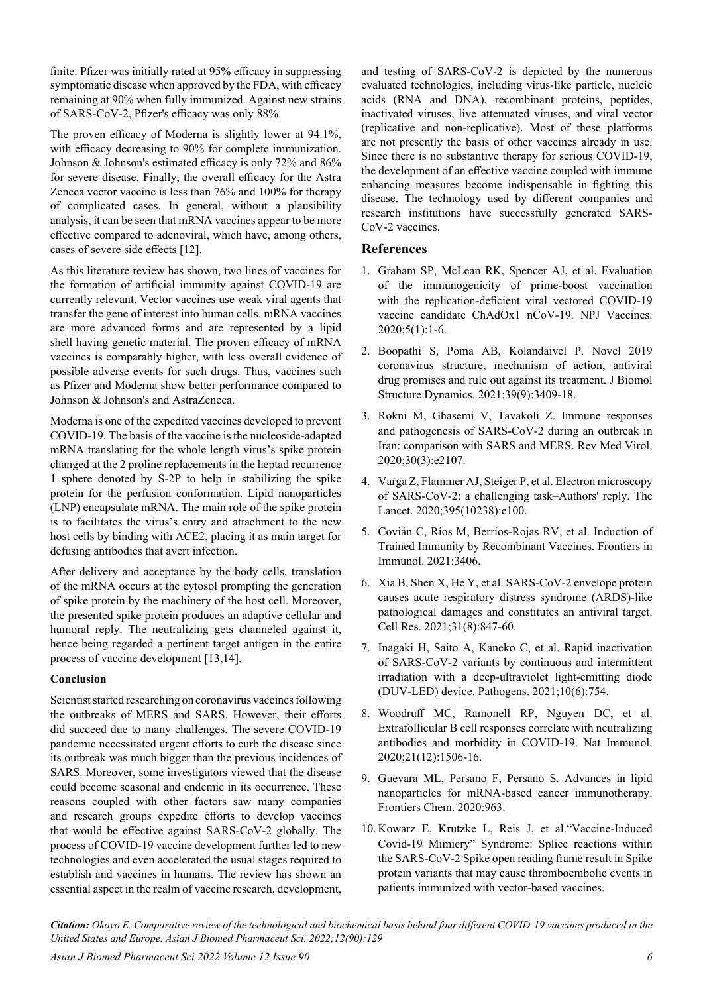finite. Pfizer was initially rated at 95% efficacy in suppressing symptomatic disease when approved by the FDA, with efficacy remaining at 90% when fully immunized. Against new strains of SARS-CoV-2, Pfizer's efficacy was only 88%.

The proven efficacy of Moderna is slightly lower at 94.1%, with efficacy decreasing to 90% for complete immunization. Johnson & Johnson's estimated efficacy is only 72% and 86% for severe disease. Finally, the overall efficacy for the Astra Zeneca vector vaccine is less than 76% and 100% for therapy of complicated cases. In general, without a plausibility analysis, it can be seen that mRNA vaccines appear to be more effective compared to adenoviral, which have, among others, cases of severe side effects [12].

As this literature review has shown, two lines of vaccines for the formation of artificial immunity against COVID-19 are currently relevant. Vector vaccines use weak viral agents that transfer the gene of interest into human cells. mRNA vaccines are more advanced forms and are represented by a lipid shell having genetic material. The proven efficacy of mRNA vaccines is comparably higher, with less overall evidence of possible adverse events for such drugs. Thus, vaccines such as Pfizer and Moderna show better performance compared to Johnson & Johnson's and AstraZeneca.

Moderna is one of the expedited vaccines developed to prevent COVID-19. The basis of the vaccine is the nucleoside-adapted mRNA translating for the whole length virus's spike protein changed at the 2 proline replacements in the heptad recurrence 1 sphere denoted by S-2P to help in stabilizing the spike protein for the perfusion conformation. Lipid nanoparticles (LNP) encapsulate mRNA. The main role of the spike protein is to facilitates the virus's entry and attachment to the new host cells by binding with ACE2, placing it as main target for defusing antibodies that avert infection.

After delivery and acceptance by the body cells, translation of the mRNA occurs at the cytosol prompting the generation of spike protein by the machinery of the host cell. Moreover, the presented spike protein produces an adaptive cellular and humoral reply. The neutralizing gets channeled against it, hence being regarded a pertinent target antigen in the entire process of vaccine development [13,14].

## **Conclusion**

Scientist started researching on coronavirus vaccines following the outbreaks of MERS and SARS. However, their efforts did succeed due to many challenges. The severe COVID-19 pandemic necessitated urgent efforts to curb the disease since its outbreak was much bigger than the previous incidences of SARS. Moreover, some investigators viewed that the disease could become seasonal and endemic in its occurrence. These reasons coupled with other factors saw many companies and research groups expedite efforts to develop vaccines that would be effective against SARS-CoV-2 globally. The process of COVID-19 vaccine development further led to new technologies and even accelerated the usual stages required to establish and vaccines in humans. The review has shown an essential aspect in the realm of vaccine research, development,

and testing of SARS-CoV-2 is depicted by the numerous evaluated technologies, including virus-like particle, nucleic acids (RNA and DNA), recombinant proteins, peptides, inactivated viruses, live attenuated viruses, and viral vector (replicative and non-replicative). Most of these platforms are not presently the basis of other vaccines already in use. Since there is no substantive therapy for serious COVID-19, the development of an effective vaccine coupled with immune enhancing measures become indispensable in fighting this disease. The technology used by different companies and research institutions have successfully generated SARS-CoV-2 vaccines.

## **References**

- 1. Graham SP, McLean RK, Spencer AJ, et al. [Evaluation](https://www.nature.com/articles/s41541-020-00221-3)  [of the immunogenicity of prime-boost vaccination](https://www.nature.com/articles/s41541-020-00221-3)  [with the replication-deficient viral vectored COVID-19](https://www.nature.com/articles/s41541-020-00221-3)  [vaccine candidate ChAdOx1 nCoV-19.](https://www.nature.com/articles/s41541-020-00221-3) NPJ Vaccines. 2020;5(1):1-6.
- 2. Boopathi S, Poma AB, Kolandaivel P. [Novel 2019](https://www.tandfonline.com/doi/full/10.1080/07391102.2020.1758788)  [coronavirus structure, mechanism of action, antiviral](https://www.tandfonline.com/doi/full/10.1080/07391102.2020.1758788)  [drug promises and rule out against its treatment](https://www.tandfonline.com/doi/full/10.1080/07391102.2020.1758788). J Biomol Structure Dynamics. 2021;39(9):3409-18.
- 3. Rokni M, Ghasemi V, Tavakoli Z. [Immune responses](https://onlinelibrary.wiley.com/doi/full/10.1002/rmv.2107)  [and pathogenesis of SARS‐CoV‐2 during an outbreak in](https://onlinelibrary.wiley.com/doi/full/10.1002/rmv.2107)  [Iran: comparison with SARS and MERS](https://onlinelibrary.wiley.com/doi/full/10.1002/rmv.2107). Rev Med Virol. 2020;30(3):e2107.
- 4. Varga Z, Flammer AJ, Steiger P, et al. [Electron microscopy](https://www.thelancet.com/journals/lancet/article/PIIS0140-6736(20)31185-5/fulltext)  [of SARS-CoV-2: a challenging task–Authors' reply](https://www.thelancet.com/journals/lancet/article/PIIS0140-6736(20)31185-5/fulltext). The Lancet. 2020;395(10238):e100.
- 5. Covián C, Ríos M, Berríos-Rojas RV, et al. [Induction of](https://www.frontiersin.org/articles/10.3389/fimmu.2020.611946/full)  [Trained Immunity by Recombinant Vaccines](https://www.frontiersin.org/articles/10.3389/fimmu.2020.611946/full). Frontiers in Immunol. 2021:3406.
- 6. Xia B, Shen X, He Y, et al. [SARS-CoV-2 envelope protein](https://www.nature.com/articles/s41422-021-00519-4)  [causes acute respiratory distress syndrome \(ARDS\)-like](https://www.nature.com/articles/s41422-021-00519-4)  [pathological damages and constitutes an antiviral target](https://www.nature.com/articles/s41422-021-00519-4). Cell Res. 2021;31(8):847-60.
- 7. Inagaki H, Saito A, Kaneko C, et al. [Rapid inactivation](https://www.mdpi.com/2076-0817/10/6/754)  [of SARS-CoV-2 variants by continuous and intermittent](https://www.mdpi.com/2076-0817/10/6/754)  [irradiation with a deep-ultraviolet light-emitting diode](https://www.mdpi.com/2076-0817/10/6/754)  [\(DUV-LED\) device](https://www.mdpi.com/2076-0817/10/6/754). Pathogens. 2021;10(6):754.
- 8. Woodruff MC, Ramonell RP, Nguyen DC, et al. [Extrafollicular B cell responses correlate with neutralizing](https://www.nature.com/articles/s41590-020-00814-z)  [antibodies and morbidity in COVID-19](https://www.nature.com/articles/s41590-020-00814-z). Nat Immunol. 2020;21(12):1506-16.
- 9. Guevara ML, Persano F, Persano S. Advances in lipid nanoparticles for mRNA-based cancer immunotherapy. Frontiers Chem. 2020:963.
- 10. Kowarz E, Krutzke L, Reis J, et al[."Vaccine-Induced](https://assets.researchsquare.com/files/rs-558954/v1/4727cc99-3f39-4d1c-a3c8-74e1266dedf9.pdf?c=1644930056)  [Covid-19 Mimicry" Syndrome: Splice reactions within](https://assets.researchsquare.com/files/rs-558954/v1/4727cc99-3f39-4d1c-a3c8-74e1266dedf9.pdf?c=1644930056)  [the SARS-CoV-2 Spike open reading frame result in Spike](https://assets.researchsquare.com/files/rs-558954/v1/4727cc99-3f39-4d1c-a3c8-74e1266dedf9.pdf?c=1644930056)  [protein variants that may cause thromboembolic events in](https://assets.researchsquare.com/files/rs-558954/v1/4727cc99-3f39-4d1c-a3c8-74e1266dedf9.pdf?c=1644930056)  [patients immunized with vector-based vaccines](https://assets.researchsquare.com/files/rs-558954/v1/4727cc99-3f39-4d1c-a3c8-74e1266dedf9.pdf?c=1644930056).